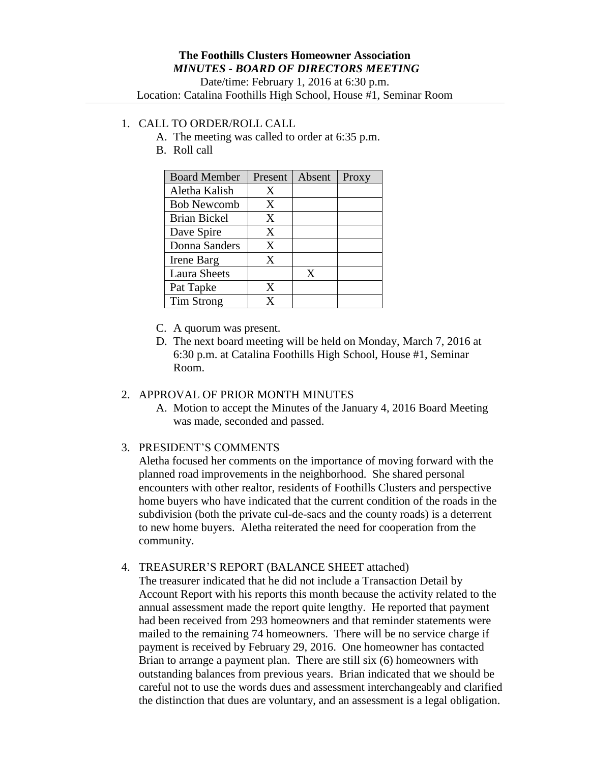## 1. CALL TO ORDER/ROLL CALL

- A. The meeting was called to order at 6:35 p.m.
- B. Roll call

| <b>Board Member</b> | Present | Absent | Proxy |
|---------------------|---------|--------|-------|
| Aletha Kalish       | X       |        |       |
| <b>Bob Newcomb</b>  | X       |        |       |
| <b>Brian Bickel</b> | X       |        |       |
| Dave Spire          | X       |        |       |
| Donna Sanders       | X       |        |       |
| Irene Barg          | X       |        |       |
| <b>Laura Sheets</b> |         | X      |       |
| Pat Tapke           | X       |        |       |
| <b>Tim Strong</b>   | Y       |        |       |

- C. A quorum was present.
- D. The next board meeting will be held on Monday, March 7, 2016 at 6:30 p.m. at Catalina Foothills High School, House #1, Seminar Room.

# 2. APPROVAL OF PRIOR MONTH MINUTES

A. Motion to accept the Minutes of the January 4, 2016 Board Meeting was made, seconded and passed.

### 3. PRESIDENT'S COMMENTS

Aletha focused her comments on the importance of moving forward with the planned road improvements in the neighborhood. She shared personal encounters with other realtor, residents of Foothills Clusters and perspective home buyers who have indicated that the current condition of the roads in the subdivision (both the private cul-de-sacs and the county roads) is a deterrent to new home buyers. Aletha reiterated the need for cooperation from the community.

# 4. TREASURER'S REPORT (BALANCE SHEET attached)

The treasurer indicated that he did not include a Transaction Detail by Account Report with his reports this month because the activity related to the annual assessment made the report quite lengthy. He reported that payment had been received from 293 homeowners and that reminder statements were mailed to the remaining 74 homeowners. There will be no service charge if payment is received by February 29, 2016. One homeowner has contacted Brian to arrange a payment plan. There are still six (6) homeowners with outstanding balances from previous years. Brian indicated that we should be careful not to use the words dues and assessment interchangeably and clarified the distinction that dues are voluntary, and an assessment is a legal obligation.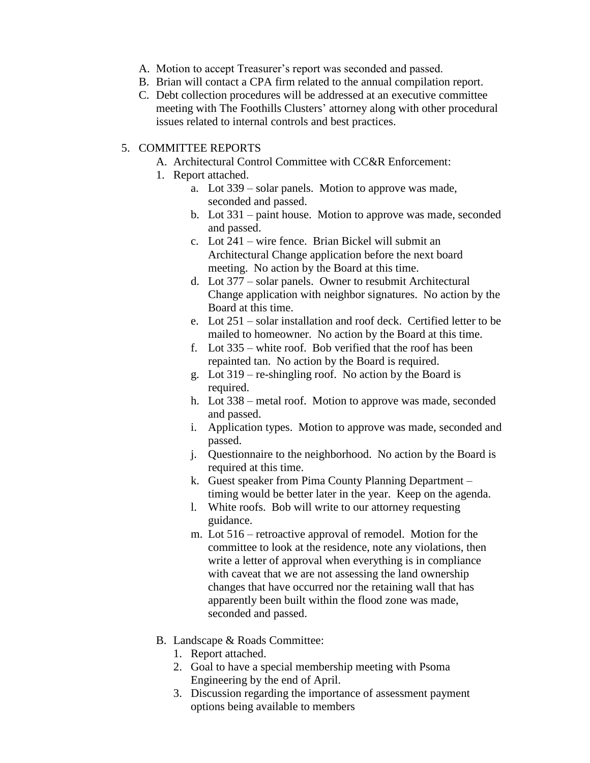- A. Motion to accept Treasurer's report was seconded and passed.
- B. Brian will contact a CPA firm related to the annual compilation report.
- C. Debt collection procedures will be addressed at an executive committee meeting with The Foothills Clusters' attorney along with other procedural issues related to internal controls and best practices.

#### 5. COMMITTEE REPORTS

- A. Architectural Control Committee with CC&R Enforcement:
- 1. Report attached.
	- a. Lot 339 solar panels. Motion to approve was made, seconded and passed.
	- b. Lot 331 paint house. Motion to approve was made, seconded and passed.
	- c. Lot 241 wire fence. Brian Bickel will submit an Architectural Change application before the next board meeting. No action by the Board at this time.
	- d. Lot 377 solar panels. Owner to resubmit Architectural Change application with neighbor signatures. No action by the Board at this time.
	- e. Lot 251 solar installation and roof deck. Certified letter to be mailed to homeowner. No action by the Board at this time.
	- f. Lot 335 white roof. Bob verified that the roof has been repainted tan. No action by the Board is required.
	- g. Lot 319 re-shingling roof. No action by the Board is required.
	- h. Lot 338 metal roof. Motion to approve was made, seconded and passed.
	- i. Application types. Motion to approve was made, seconded and passed.
	- j. Questionnaire to the neighborhood. No action by the Board is required at this time.
	- k. Guest speaker from Pima County Planning Department timing would be better later in the year. Keep on the agenda.
	- l. White roofs. Bob will write to our attorney requesting guidance.
	- m. Lot 516 retroactive approval of remodel. Motion for the committee to look at the residence, note any violations, then write a letter of approval when everything is in compliance with caveat that we are not assessing the land ownership changes that have occurred nor the retaining wall that has apparently been built within the flood zone was made, seconded and passed.
- B. Landscape & Roads Committee:
	- 1. Report attached.
	- 2. Goal to have a special membership meeting with Psoma Engineering by the end of April.
	- 3. Discussion regarding the importance of assessment payment options being available to members